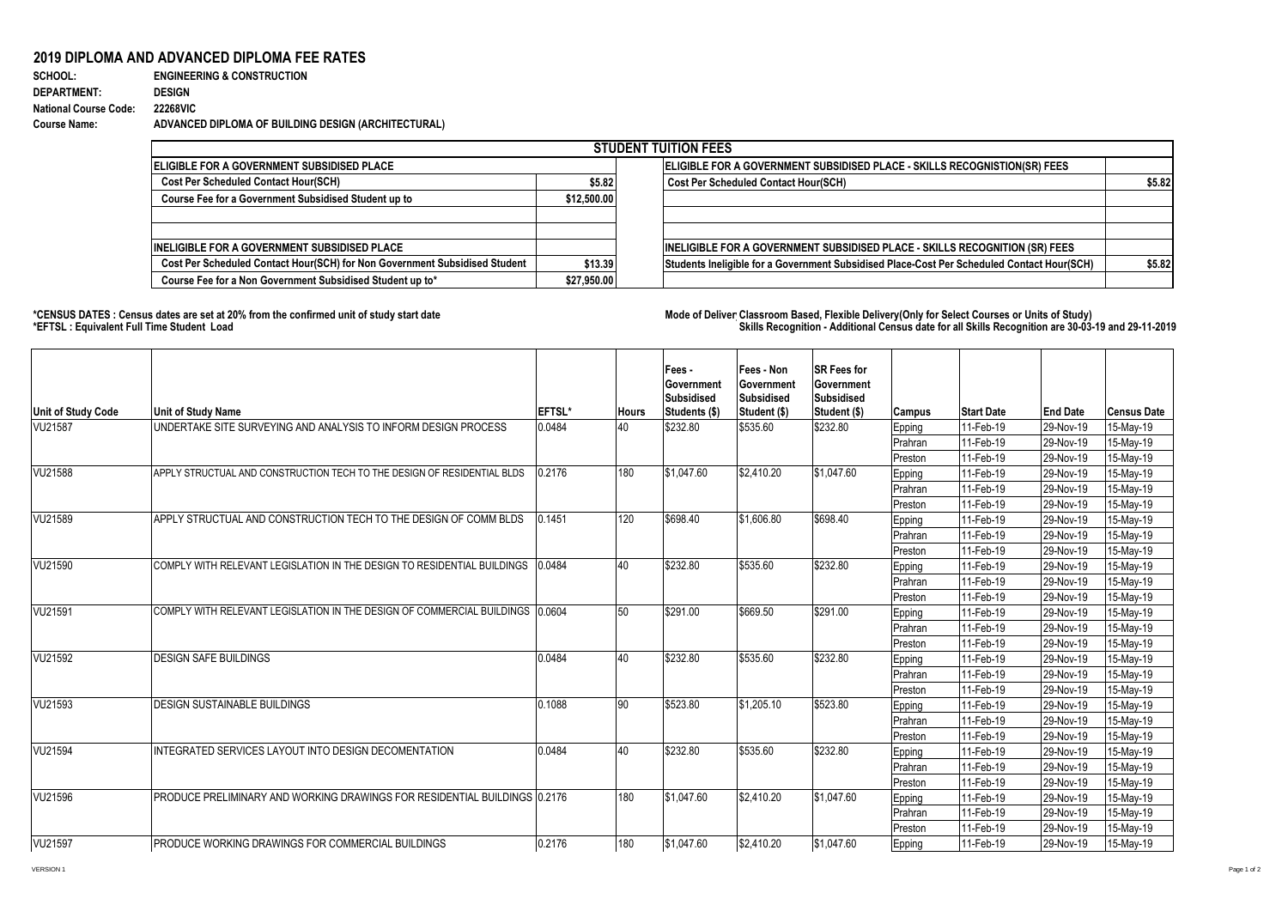## **2019 DIPLOMA AND ADVANCED DIPLOMA FEE RATES**

## **SCHOOL: ENGINEERING & CONSTRUCTION DEPARTMENT: DESIGN National Course Code: 22268VIC Course Name: ADVANCED DIPLOMA OF BUILDING DESIGN (ARCHITECTURAL)**

|                                                                            |                                                                           | <b>STUDENT TUITION FEES</b>                                                                |        |
|----------------------------------------------------------------------------|---------------------------------------------------------------------------|--------------------------------------------------------------------------------------------|--------|
| <b>IELIGIBLE FOR A GOVERNMENT SUBSIDISED PLACE</b>                         | ELIGIBLE FOR A GOVERNMENT SUBSIDISED PLACE - SKILLS RECOGNISTION(SR) FEES |                                                                                            |        |
| <b>Cost Per Scheduled Contact Hour(SCH)</b>                                | \$5.82                                                                    | <b>Cost Per Scheduled Contact Hour(SCH)</b>                                                | \$5.82 |
| Course Fee for a Government Subsidised Student up to                       | \$12,500,00                                                               |                                                                                            |        |
| <b>IINELIGIBLE FOR A GOVERNMENT SUBSIDISED PLACE</b>                       |                                                                           | <b>INELIGIBLE FOR A GOVERNMENT SUBSIDISED PLACE - SKILLS RECOGNITION (SR) FEES</b>         |        |
| Cost Per Scheduled Contact Hour(SCH) for Non Government Subsidised Student | \$13.39                                                                   | Students Ineligible for a Government Subsidised Place-Cost Per Scheduled Contact Hour(SCH) | \$5.82 |
| Course Fee for a Non Government Subsidised Student up to*                  | \$27,950.00                                                               |                                                                                            |        |

## **\*CENSUS DATES : Census dates are set at 20% from the confirmed unit of study start date Mode of Delivery:Classroom Based, Flexible Delivery(Only for Select Courses or Units of Study) \*EFTSL : Equivalent Full Time Student Load Skills Recognition - Additional Census date for all Skills Recognition are 30-03-19 and 29-11-2019**

| <b>Unit of Study Code</b> | Unit of Study Name                                                            | <b>EFTSL*</b> | <b>Hours</b> | Fees-<br>Government<br><b>Subsidised</b><br>Students (\$) | Fees - Non<br>Government<br><b>Subsidised</b><br>Student (\$) | <b>SR Fees for</b><br>Government<br><b>Subsidised</b><br>Student (\$) | <b>Campus</b> | <b>Start Date</b> | <b>End Date</b> | <b>Census Date</b> |
|---------------------------|-------------------------------------------------------------------------------|---------------|--------------|-----------------------------------------------------------|---------------------------------------------------------------|-----------------------------------------------------------------------|---------------|-------------------|-----------------|--------------------|
| <b>VU21587</b>            | UNDERTAKE SITE SURVEYING AND ANALYSIS TO INFORM DESIGN PROCESS                | 0.0484        | 40           | \$232.80                                                  | \$535.60                                                      | \$232.80                                                              | Epping        | 11-Feb-19         | 29-Nov-19       | 15-May-19          |
|                           |                                                                               |               |              |                                                           |                                                               |                                                                       | Prahran       | 11-Feb-19         | 29-Nov-19       | 15-May-19          |
|                           |                                                                               |               |              |                                                           |                                                               |                                                                       | Preston       | 11-Feb-19         | 29-Nov-19       | 15-May-19          |
| VU21588                   | APPLY STRUCTUAL AND CONSTRUCTION TECH TO THE DESIGN OF RESIDENTIAL BLDS       | 0.2176        | 180          | \$1,047.60                                                | \$2,410.20                                                    | \$1.047.60                                                            | Epping        | 11-Feb-19         | 29-Nov-19       | 15-May-19          |
|                           |                                                                               |               |              |                                                           |                                                               |                                                                       | Prahran       | 11-Feb-19         | 29-Nov-19       | 15-May-19          |
|                           |                                                                               |               |              |                                                           |                                                               |                                                                       | Preston       | 11-Feb-19         | 29-Nov-19       | 15-May-19          |
| VU21589                   | APPLY STRUCTUAL AND CONSTRUCTION TECH TO THE DESIGN OF COMM BLDS              | 0.1451        | 120          | \$698.40                                                  | \$1,606.80                                                    | \$698.40                                                              | Epping        | 11-Feb-19         | 29-Nov-19       | 15-May-19          |
|                           |                                                                               |               |              |                                                           |                                                               |                                                                       | Prahran       | 11-Feb-19         | 29-Nov-19       | 15-May-19          |
|                           |                                                                               |               |              |                                                           |                                                               |                                                                       | Preston       | 11-Feb-19         | 29-Nov-19       | 15-May-19          |
| VU21590                   | COMPLY WITH RELEVANT LEGISLATION IN THE DESIGN TO RESIDENTIAL BUILDINGS       | 0.0484        | 40           | \$232.80                                                  | \$535.60                                                      | \$232.80                                                              | Epping        | 11-Feb-19         | 29-Nov-19       | 15-May-19          |
|                           |                                                                               |               |              |                                                           |                                                               |                                                                       | Prahran       | 11-Feb-19         | 29-Nov-19       | 15-May-19          |
|                           |                                                                               |               |              |                                                           |                                                               |                                                                       | Preston       | 11-Feb-19         | 29-Nov-19       | 15-May-19          |
| VU21591                   | COMPLY WITH RELEVANT LEGISLATION IN THE DESIGN OF COMMERCIAL BUILDINGS 0.0604 |               | 50           | \$291.00                                                  | \$669.50                                                      | \$291.00                                                              | Epping        | 11-Feb-19         | 29-Nov-19       | 15-May-19          |
|                           |                                                                               |               |              |                                                           |                                                               |                                                                       | Prahran       | 11-Feb-19         | 29-Nov-19       | 15-May-19          |
|                           |                                                                               |               |              |                                                           |                                                               |                                                                       | Preston       | 11-Feb-19         | 29-Nov-19       | 15-May-19          |
| VU21592                   | <b>DESIGN SAFE BUILDINGS</b>                                                  | 0.0484        | 40           | \$232.80                                                  | \$535.60                                                      | \$232.80                                                              | Epping        | 11-Feb-19         | 29-Nov-19       | 15-May-19          |
|                           |                                                                               |               |              |                                                           |                                                               |                                                                       | Prahran       | 11-Feb-19         | 29-Nov-19       | 15-May-19          |
|                           |                                                                               |               |              |                                                           |                                                               |                                                                       | Preston       | 11-Feb-19         | 29-Nov-19       | 15-May-19          |
| VU21593                   | <b>DESIGN SUSTAINABLE BUILDINGS</b>                                           | 0.1088        | 90           | \$523.80                                                  | \$1,205.10                                                    | \$523.80                                                              | Epping        | 11-Feb-19         | 29-Nov-19       | 15-May-19          |
|                           |                                                                               |               |              |                                                           |                                                               |                                                                       | Prahran       | 11-Feb-19         | 29-Nov-19       | 15-May-19          |
|                           |                                                                               |               |              |                                                           |                                                               |                                                                       | Preston       | 11-Feb-19         | 29-Nov-19       | 15-May-19          |
| VU21594                   | INTEGRATED SERVICES LAYOUT INTO DESIGN DECOMENTATION                          | 0.0484        | 40           | \$232.80                                                  | \$535.60                                                      | \$232.80                                                              | Epping        | 11-Feb-19         | 29-Nov-19       | 15-May-19          |
|                           |                                                                               |               |              |                                                           |                                                               |                                                                       | Prahran       | 11-Feb-19         | 29-Nov-19       | 15-May-19          |
|                           |                                                                               |               |              |                                                           |                                                               |                                                                       | Preston       | 11-Feb-19         | 29-Nov-19       | 15-May-19          |
| VU21596                   | PRODUCE PRELIMINARY AND WORKING DRAWINGS FOR RESIDENTIAL BUILDINGS 0.2176     |               | 180          | \$1,047.60                                                | \$2,410.20                                                    | \$1,047.60                                                            | Epping        | 11-Feb-19         | 29-Nov-19       | 15-May-19          |
|                           |                                                                               |               |              |                                                           |                                                               |                                                                       | Prahran       | 11-Feb-19         | 29-Nov-19       | 15-May-19          |
|                           |                                                                               |               |              |                                                           |                                                               |                                                                       | Preston       | 11-Feb-19         | 29-Nov-19       | 15-May-19          |
| VU21597                   | PRODUCE WORKING DRAWINGS FOR COMMERCIAL BUILDINGS                             | 0.2176        | 180          | \$1,047.60                                                | \$2,410.20                                                    | \$1,047.60                                                            | Epping        | 11-Feb-19         | 29-Nov-19       | 15-May-19          |